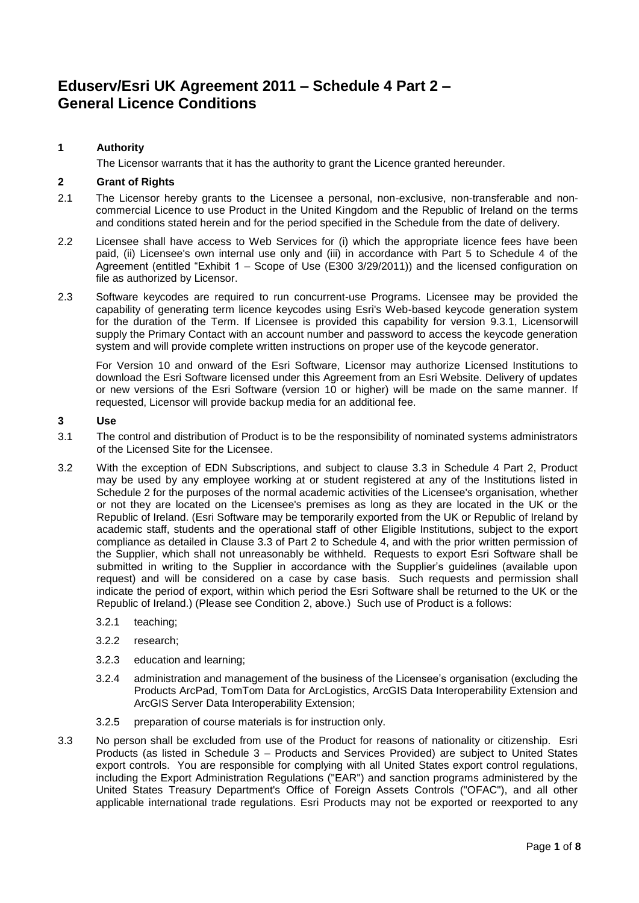# **Eduserv/Esri UK Agreement 2011 – Schedule 4 Part 2 – General Licence Conditions**

# **1 Authority**

The Licensor warrants that it has the authority to grant the Licence granted hereunder.

# **2 Grant of Rights**

- 2.1 The Licensor hereby grants to the Licensee a personal, non-exclusive, non-transferable and noncommercial Licence to use Product in the United Kingdom and the Republic of Ireland on the terms and conditions stated herein and for the period specified in the Schedule from the date of delivery.
- 2.2 Licensee shall have access to Web Services for (i) which the appropriate licence fees have been paid, (ii) Licensee's own internal use only and (iii) in accordance with Part 5 to Schedule 4 of the Agreement (entitled "Exhibit  $1 -$  Scope of Use (E300 3/29/2011)) and the licensed configuration on file as authorized by Licensor.
- 2.3 Software keycodes are required to run concurrent-use Programs. Licensee may be provided the capability of generating term licence keycodes using Esri's Web-based keycode generation system for the duration of the Term. If Licensee is provided this capability for version 9.3.1, Licensorwill supply the Primary Contact with an account number and password to access the keycode generation system and will provide complete written instructions on proper use of the keycode generator.

For Version 10 and onward of the Esri Software, Licensor may authorize Licensed Institutions to download the Esri Software licensed under this Agreement from an Esri Website. Delivery of updates or new versions of the Esri Software (version 10 or higher) will be made on the same manner. If requested, Licensor will provide backup media for an additional fee.

#### **3 Use**

- 3.1 The control and distribution of Product is to be the responsibility of nominated systems administrators of the Licensed Site for the Licensee.
- 3.2 With the exception of EDN Subscriptions, and subject to clause 3.3 in Schedule 4 Part 2, Product may be used by any employee working at or student registered at any of the Institutions listed in Schedule 2 for the purposes of the normal academic activities of the Licensee's organisation, whether or not they are located on the Licensee's premises as long as they are located in the UK or the Republic of Ireland. (Esri Software may be temporarily exported from the UK or Republic of Ireland by academic staff, students and the operational staff of other Eligible Institutions, subject to the export compliance as detailed in Clause 3.3 of Part 2 to Schedule 4, and with the prior written permission of the Supplier, which shall not unreasonably be withheld. Requests to export Esri Software shall be submitted in writing to the Supplier in accordance with the Supplier's guidelines (available upon request) and will be considered on a case by case basis. Such requests and permission shall indicate the period of export, within which period the Esri Software shall be returned to the UK or the Republic of Ireland.) (Please see Condition 2, above.) Such use of Product is a follows:
	- 3.2.1 teaching;
	- 3.2.2 research;
	- 3.2.3 education and learning;
	- 3.2.4 administration and management of the business of the Licensee's organisation (excluding the Products ArcPad, TomTom Data for ArcLogistics, ArcGIS Data Interoperability Extension and ArcGIS Server Data Interoperability Extension;
	- 3.2.5 preparation of course materials is for instruction only.
- 3.3 No person shall be excluded from use of the Product for reasons of nationality or citizenship. Esri Products (as listed in Schedule 3 – Products and Services Provided) are subject to United States export controls. You are responsible for complying with all United States export control regulations, including the Export Administration Regulations ("EAR") and sanction programs administered by the United States Treasury Department's Office of Foreign Assets Controls ("OFAC"), and all other applicable international trade regulations. Esri Products may not be exported or reexported to any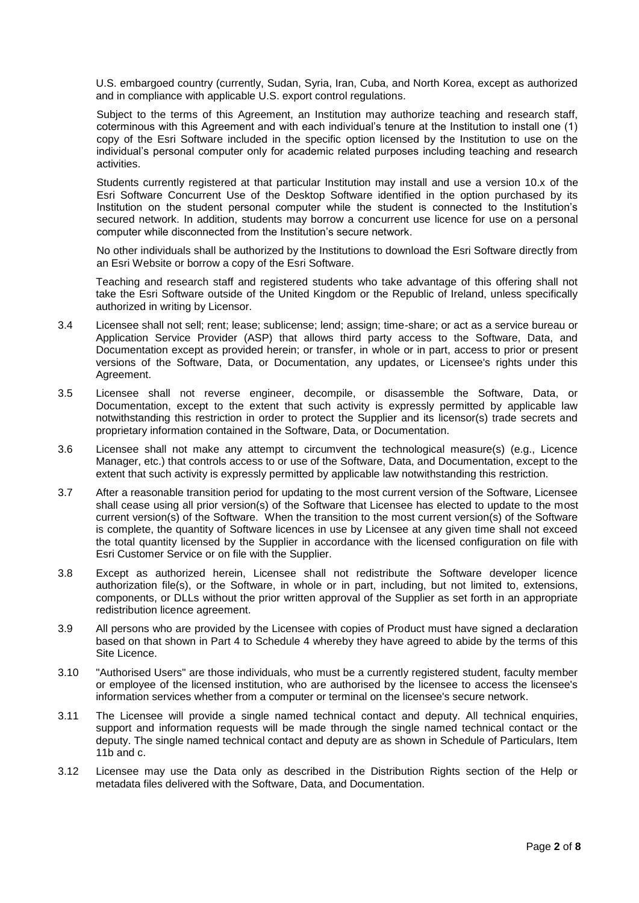U.S. embargoed country (currently, Sudan, Syria, Iran, Cuba, and North Korea, except as authorized and in compliance with applicable U.S. export control regulations.

Subject to the terms of this Agreement, an Institution may authorize teaching and research staff. coterminous with this Agreement and with each individual's tenure at the Institution to install one (1) copy of the Esri Software included in the specific option licensed by the Institution to use on the individual's personal computer only for academic related purposes including teaching and research activities.

Students currently registered at that particular Institution may install and use a version 10.x of the Esri Software Concurrent Use of the Desktop Software identified in the option purchased by its Institution on the student personal computer while the student is connected to the Institution's secured network. In addition, students may borrow a concurrent use licence for use on a personal computer while disconnected from the Institution's secure network.

No other individuals shall be authorized by the Institutions to download the Esri Software directly from an Esri Website or borrow a copy of the Esri Software.

Teaching and research staff and registered students who take advantage of this offering shall not take the Esri Software outside of the United Kingdom or the Republic of Ireland, unless specifically authorized in writing by Licensor.

- 3.4 Licensee shall not sell; rent; lease; sublicense; lend; assign; time-share; or act as a service bureau or Application Service Provider (ASP) that allows third party access to the Software, Data, and Documentation except as provided herein; or transfer, in whole or in part, access to prior or present versions of the Software, Data, or Documentation, any updates, or Licensee's rights under this Agreement.
- 3.5 Licensee shall not reverse engineer, decompile, or disassemble the Software, Data, or Documentation, except to the extent that such activity is expressly permitted by applicable law notwithstanding this restriction in order to protect the Supplier and its licensor(s) trade secrets and proprietary information contained in the Software, Data, or Documentation.
- 3.6 Licensee shall not make any attempt to circumvent the technological measure(s) (e.g., Licence Manager, etc.) that controls access to or use of the Software, Data, and Documentation, except to the extent that such activity is expressly permitted by applicable law notwithstanding this restriction.
- 3.7 After a reasonable transition period for updating to the most current version of the Software, Licensee shall cease using all prior version(s) of the Software that Licensee has elected to update to the most current version(s) of the Software. When the transition to the most current version(s) of the Software is complete, the quantity of Software licences in use by Licensee at any given time shall not exceed the total quantity licensed by the Supplier in accordance with the licensed configuration on file with Esri Customer Service or on file with the Supplier.
- 3.8 Except as authorized herein, Licensee shall not redistribute the Software developer licence authorization file(s), or the Software, in whole or in part, including, but not limited to, extensions, components, or DLLs without the prior written approval of the Supplier as set forth in an appropriate redistribution licence agreement.
- 3.9 All persons who are provided by the Licensee with copies of Product must have signed a declaration based on that shown in Part 4 to Schedule 4 whereby they have agreed to abide by the terms of this Site Licence.
- 3.10 "Authorised Users" are those individuals, who must be a currently registered student, faculty member or employee of the licensed institution, who are authorised by the licensee to access the licensee's information services whether from a computer or terminal on the licensee's secure network.
- 3.11 The Licensee will provide a single named technical contact and deputy. All technical enquiries, support and information requests will be made through the single named technical contact or the deputy. The single named technical contact and deputy are as shown in Schedule of Particulars, Item 11b and c.
- 3.12 Licensee may use the Data only as described in the Distribution Rights section of the Help or metadata files delivered with the Software, Data, and Documentation.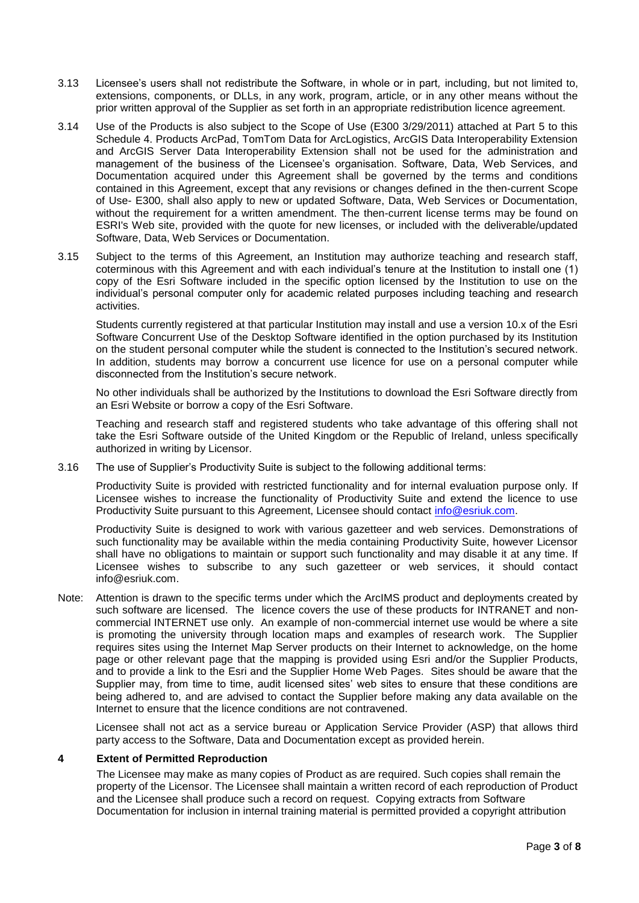- 3.13 Licensee's users shall not redistribute the Software, in whole or in part*,* including, but not limited to, extensions, components, or DLLs, in any work, program, article, or in any other means without the prior written approval of the Supplier as set forth in an appropriate redistribution licence agreement.
- 3.14 Use of the Products is also subject to the Scope of Use (E300 3/29/2011) attached at Part 5 to this Schedule 4. Products ArcPad, TomTom Data for ArcLogistics, ArcGIS Data Interoperability Extension and ArcGIS Server Data Interoperability Extension shall not be used for the administration and management of the business of the Licensee's organisation. Software, Data, Web Services, and Documentation acquired under this Agreement shall be governed by the terms and conditions contained in this Agreement, except that any revisions or changes defined in the then-current Scope of Use- E300, shall also apply to new or updated Software, Data, Web Services or Documentation, without the requirement for a written amendment. The then-current license terms may be found on ESRI's Web site, provided with the quote for new licenses, or included with the deliverable/updated Software, Data, Web Services or Documentation.
- 3.15 Subject to the terms of this Agreement, an Institution may authorize teaching and research staff, coterminous with this Agreement and with each individual's tenure at the Institution to install one (1) copy of the Esri Software included in the specific option licensed by the Institution to use on the individual's personal computer only for academic related purposes including teaching and research activities.

Students currently registered at that particular Institution may install and use a version 10.x of the Esri Software Concurrent Use of the Desktop Software identified in the option purchased by its Institution on the student personal computer while the student is connected to the Institution's secured network. In addition, students may borrow a concurrent use licence for use on a personal computer while disconnected from the Institution's secure network.

No other individuals shall be authorized by the Institutions to download the Esri Software directly from an Esri Website or borrow a copy of the Esri Software.

Teaching and research staff and registered students who take advantage of this offering shall not take the Esri Software outside of the United Kingdom or the Republic of Ireland, unless specifically authorized in writing by Licensor.

3.16 The use of Supplier's Productivity Suite is subject to the following additional terms:

Productivity Suite is provided with restricted functionality and for internal evaluation purpose only. If Licensee wishes to increase the functionality of Productivity Suite and extend the licence to use Productivity Suite pursuant to this Agreement, Licensee should contact [info@esriuk.com.](mailto:info@esriuk.com)

Productivity Suite is designed to work with various gazetteer and web services. Demonstrations of such functionality may be available within the media containing Productivity Suite, however Licensor shall have no obligations to maintain or support such functionality and may disable it at any time. If Licensee wishes to subscribe to any such gazetteer or web services, it should contact [info@esriuk.com.](mailto:info@esriuk.com)

Note: Attention is drawn to the specific terms under which the ArcIMS product and deployments created by such software are licensed. The licence covers the use of these products for INTRANET and noncommercial INTERNET use only. An example of non-commercial internet use would be where a site is promoting the university through location maps and examples of research work. The Supplier requires sites using the Internet Map Server products on their Internet to acknowledge, on the home page or other relevant page that the mapping is provided using Esri and/or the Supplier Products, and to provide a link to the Esri and the Supplier Home Web Pages. Sites should be aware that the Supplier may, from time to time, audit licensed sites' web sites to ensure that these conditions are being adhered to, and are advised to contact the Supplier before making any data available on the Internet to ensure that the licence conditions are not contravened.

Licensee shall not act as a service bureau or Application Service Provider (ASP) that allows third party access to the Software, Data and Documentation except as provided herein.

#### **4 Extent of Permitted Reproduction**

The Licensee may make as many copies of Product as are required. Such copies shall remain the property of the Licensor. The Licensee shall maintain a written record of each reproduction of Product and the Licensee shall produce such a record on request. Copying extracts from Software Documentation for inclusion in internal training material is permitted provided a copyright attribution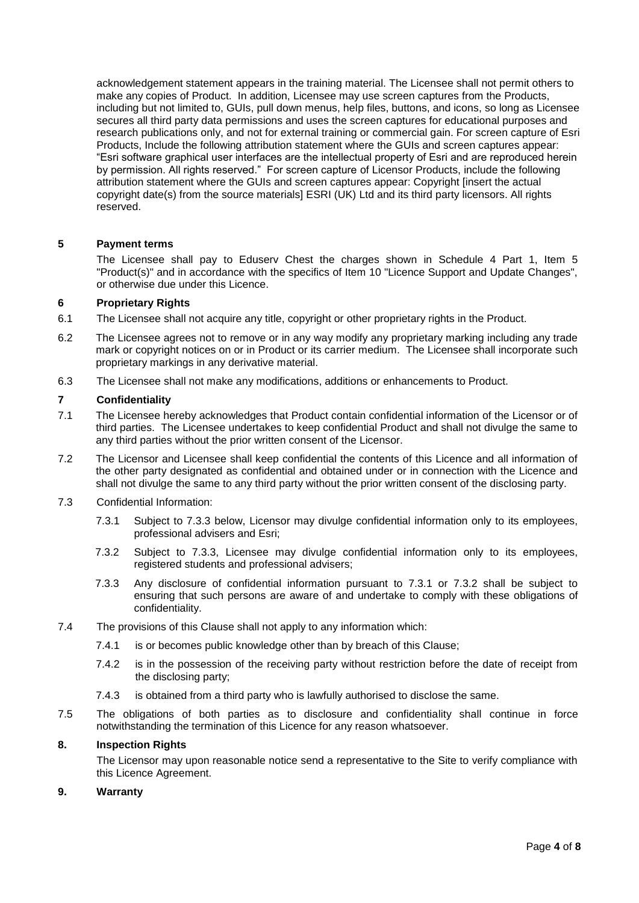acknowledgement statement appears in the training material. The Licensee shall not permit others to make any copies of Product. In addition, Licensee may use screen captures from the Products, including but not limited to, GUIs, pull down menus, help files, buttons, and icons, so long as Licensee secures all third party data permissions and uses the screen captures for educational purposes and research publications only, and not for external training or commercial gain. For screen capture of Esri Products, Include the following attribution statement where the GUIs and screen captures appear: ―Esri software graphical user interfaces are the intellectual property of Esri and are reproduced herein by permission. All rights reserved." For screen capture of Licensor Products, include the following attribution statement where the GUIs and screen captures appear: Copyright [insert the actual copyright date(s) from the source materials] ESRI (UK) Ltd and its third party licensors. All rights reserved.

# **5 Payment terms**

The Licensee shall pay to Eduserv Chest the charges shown in Schedule 4 Part 1, Item 5 "Product(s)" and in accordance with the specifics of Item 10 "Licence Support and Update Changes", or otherwise due under this Licence.

#### **6 Proprietary Rights**

- 6.1 The Licensee shall not acquire any title, copyright or other proprietary rights in the Product.
- 6.2 The Licensee agrees not to remove or in any way modify any proprietary marking including any trade mark or copyright notices on or in Product or its carrier medium. The Licensee shall incorporate such proprietary markings in any derivative material.
- 6.3 The Licensee shall not make any modifications, additions or enhancements to Product.

#### **7 Confidentiality**

- 7.1 The Licensee hereby acknowledges that Product contain confidential information of the Licensor or of third parties. The Licensee undertakes to keep confidential Product and shall not divulge the same to any third parties without the prior written consent of the Licensor.
- 7.2 The Licensor and Licensee shall keep confidential the contents of this Licence and all information of the other party designated as confidential and obtained under or in connection with the Licence and shall not divulge the same to any third party without the prior written consent of the disclosing party.
- 7.3 Confidential Information:
	- 7.3.1 Subject to 7.3.3 below, Licensor may divulge confidential information only to its employees, professional advisers and Esri;
	- 7.3.2 Subject to 7.3.3, Licensee may divulge confidential information only to its employees, registered students and professional advisers;
	- 7.3.3 Any disclosure of confidential information pursuant to 7.3.1 or 7.3.2 shall be subject to ensuring that such persons are aware of and undertake to comply with these obligations of confidentiality.
- 7.4 The provisions of this Clause shall not apply to any information which:
	- 7.4.1 is or becomes public knowledge other than by breach of this Clause;
	- 7.4.2 is in the possession of the receiving party without restriction before the date of receipt from the disclosing party;
	- 7.4.3 is obtained from a third party who is lawfully authorised to disclose the same.
- 7.5 The obligations of both parties as to disclosure and confidentiality shall continue in force notwithstanding the termination of this Licence for any reason whatsoever.

# **8. Inspection Rights**

The Licensor may upon reasonable notice send a representative to the Site to verify compliance with this Licence Agreement.

#### **9. Warranty**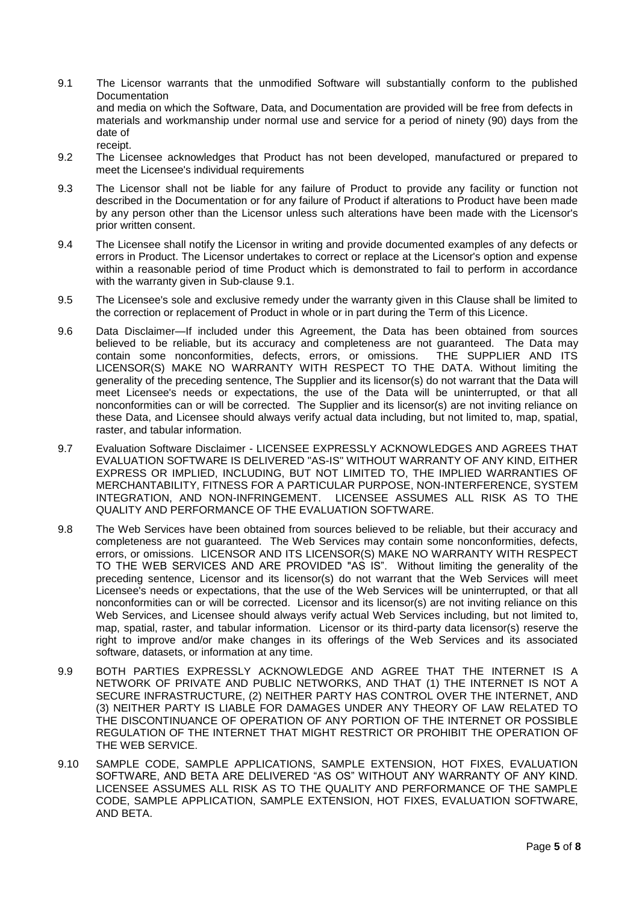- 9.1 The Licensor warrants that the unmodified Software will substantially conform to the published **Documentation** and media on which the Software, Data, and Documentation are provided will be free from defects in materials and workmanship under normal use and service for a period of ninety (90) days from the date of receipt.
- 9.2 The Licensee acknowledges that Product has not been developed, manufactured or prepared to meet the Licensee's individual requirements
- 9.3 The Licensor shall not be liable for any failure of Product to provide any facility or function not described in the Documentation or for any failure of Product if alterations to Product have been made by any person other than the Licensor unless such alterations have been made with the Licensor's prior written consent.
- 9.4 The Licensee shall notify the Licensor in writing and provide documented examples of any defects or errors in Product. The Licensor undertakes to correct or replace at the Licensor's option and expense within a reasonable period of time Product which is demonstrated to fail to perform in accordance with the warranty given in Sub-clause 9.1.
- 9.5 The Licensee's sole and exclusive remedy under the warranty given in this Clause shall be limited to the correction or replacement of Product in whole or in part during the Term of this Licence.
- 9.6 Data Disclaimer—If included under this Agreement, the Data has been obtained from sources believed to be reliable, but its accuracy and completeness are not guaranteed. The Data may contain some nonconformities, defects, errors, or omissions. THE SUPPLIER AND ITS LICENSOR(S) MAKE NO WARRANTY WITH RESPECT TO THE DATA. Without limiting the generality of the preceding sentence, The Supplier and its licensor(s) do not warrant that the Data will meet Licensee's needs or expectations, the use of the Data will be uninterrupted, or that all nonconformities can or will be corrected. The Supplier and its licensor(s) are not inviting reliance on these Data, and Licensee should always verify actual data including, but not limited to, map, spatial, raster, and tabular information.
- 9.7 Evaluation Software Disclaimer LICENSEE EXPRESSLY ACKNOWLEDGES AND AGREES THAT EVALUATION SOFTWARE IS DELIVERED "AS-IS" WITHOUT WARRANTY OF ANY KIND, EITHER EXPRESS OR IMPLIED, INCLUDING, BUT NOT LIMITED TO, THE IMPLIED WARRANTIES OF MERCHANTABILITY, FITNESS FOR A PARTICULAR PURPOSE, NON-INTERFERENCE, SYSTEM INTEGRATION, AND NON-INFRINGEMENT. LICENSEE ASSUMES ALL RISK AS TO THE QUALITY AND PERFORMANCE OF THE EVALUATION SOFTWARE.
- 9.8 The Web Services have been obtained from sources believed to be reliable, but their accuracy and completeness are not guaranteed. The Web Services may contain some nonconformities, defects, errors, or omissions. LICENSOR AND ITS LICENSOR(S) MAKE NO WARRANTY WITH RESPECT TO THE WEB SERVICES AND ARE PROVIDED "AS IS". Without limiting the generality of the preceding sentence, Licensor and its licensor(s) do not warrant that the Web Services will meet Licensee's needs or expectations, that the use of the Web Services will be uninterrupted, or that all nonconformities can or will be corrected. Licensor and its licensor(s) are not inviting reliance on this Web Services, and Licensee should always verify actual Web Services including, but not limited to, map, spatial, raster, and tabular information. Licensor or its third-party data licensor(s) reserve the right to improve and/or make changes in its offerings of the Web Services and its associated software, datasets, or information at any time.
- 9.9 BOTH PARTIES EXPRESSLY ACKNOWLEDGE AND AGREE THAT THE INTERNET IS A NETWORK OF PRIVATE AND PUBLIC NETWORKS, AND THAT (1) THE INTERNET IS NOT A SECURE INFRASTRUCTURE, (2) NEITHER PARTY HAS CONTROL OVER THE INTERNET, AND (3) NEITHER PARTY IS LIABLE FOR DAMAGES UNDER ANY THEORY OF LAW RELATED TO THE DISCONTINUANCE OF OPERATION OF ANY PORTION OF THE INTERNET OR POSSIBLE REGULATION OF THE INTERNET THAT MIGHT RESTRICT OR PROHIBIT THE OPERATION OF THE WEB SERVICE.
- 9.10 SAMPLE CODE, SAMPLE APPLICATIONS, SAMPLE EXTENSION, HOT FIXES, EVALUATION SOFTWARE, AND BETA ARE DELIVERED "AS OS" WITHOUT ANY WARRANTY OF ANY KIND. LICENSEE ASSUMES ALL RISK AS TO THE QUALITY AND PERFORMANCE OF THE SAMPLE CODE, SAMPLE APPLICATION, SAMPLE EXTENSION, HOT FIXES, EVALUATION SOFTWARE, AND BETA.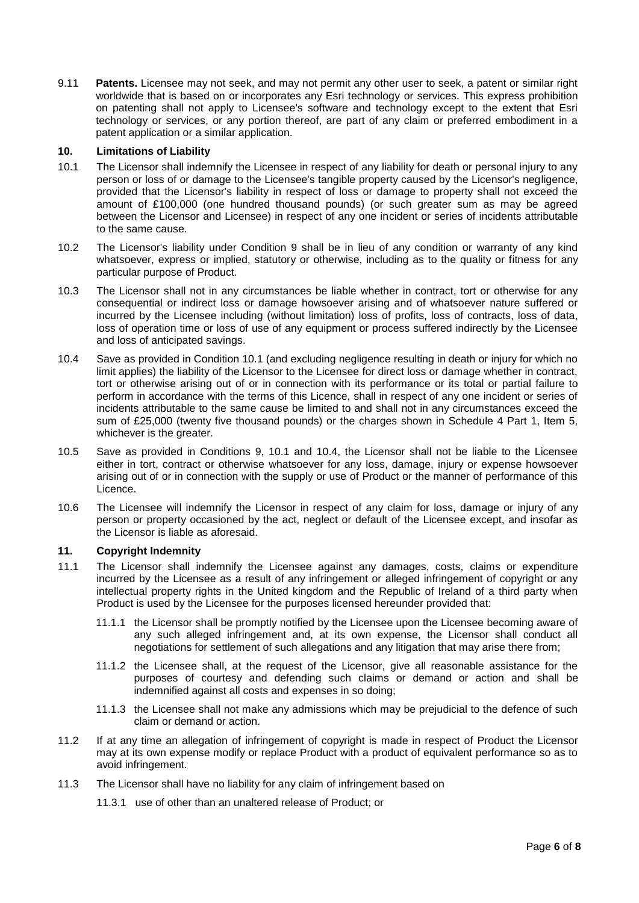9.11 **Patents.** Licensee may not seek, and may not permit any other user to seek, a patent or similar right worldwide that is based on or incorporates any Esri technology or services. This express prohibition on patenting shall not apply to Licensee's software and technology except to the extent that Esri technology or services, or any portion thereof, are part of any claim or preferred embodiment in a patent application or a similar application.

#### **10. Limitations of Liability**

- 10.1 The Licensor shall indemnify the Licensee in respect of any liability for death or personal injury to any person or loss of or damage to the Licensee's tangible property caused by the Licensor's negligence, provided that the Licensor's liability in respect of loss or damage to property shall not exceed the amount of £100,000 (one hundred thousand pounds) (or such greater sum as may be agreed between the Licensor and Licensee) in respect of any one incident or series of incidents attributable to the same cause.
- 10.2 The Licensor's liability under Condition 9 shall be in lieu of any condition or warranty of any kind whatsoever, express or implied, statutory or otherwise, including as to the quality or fitness for any particular purpose of Product.
- 10.3 The Licensor shall not in any circumstances be liable whether in contract, tort or otherwise for any consequential or indirect loss or damage howsoever arising and of whatsoever nature suffered or incurred by the Licensee including (without limitation) loss of profits, loss of contracts, loss of data, loss of operation time or loss of use of any equipment or process suffered indirectly by the Licensee and loss of anticipated savings.
- 10.4 Save as provided in Condition 10.1 (and excluding negligence resulting in death or injury for which no limit applies) the liability of the Licensor to the Licensee for direct loss or damage whether in contract, tort or otherwise arising out of or in connection with its performance or its total or partial failure to perform in accordance with the terms of this Licence, shall in respect of any one incident or series of incidents attributable to the same cause be limited to and shall not in any circumstances exceed the sum of £25,000 (twenty five thousand pounds) or the charges shown in Schedule 4 Part 1, Item 5, whichever is the greater.
- 10.5 Save as provided in Conditions 9, 10.1 and 10.4, the Licensor shall not be liable to the Licensee either in tort, contract or otherwise whatsoever for any loss, damage, injury or expense howsoever arising out of or in connection with the supply or use of Product or the manner of performance of this Licence.
- 10.6 The Licensee will indemnify the Licensor in respect of any claim for loss, damage or injury of any person or property occasioned by the act, neglect or default of the Licensee except, and insofar as the Licensor is liable as aforesaid.

# **11. Copyright Indemnity**

- 11.1 The Licensor shall indemnify the Licensee against any damages, costs, claims or expenditure incurred by the Licensee as a result of any infringement or alleged infringement of copyright or any intellectual property rights in the United kingdom and the Republic of Ireland of a third party when Product is used by the Licensee for the purposes licensed hereunder provided that:
	- 11.1.1 the Licensor shall be promptly notified by the Licensee upon the Licensee becoming aware of any such alleged infringement and, at its own expense, the Licensor shall conduct all negotiations for settlement of such allegations and any litigation that may arise there from;
	- 11.1.2 the Licensee shall, at the request of the Licensor, give all reasonable assistance for the purposes of courtesy and defending such claims or demand or action and shall be indemnified against all costs and expenses in so doing;
	- 11.1.3 the Licensee shall not make any admissions which may be prejudicial to the defence of such claim or demand or action.
- 11.2 If at any time an allegation of infringement of copyright is made in respect of Product the Licensor may at its own expense modify or replace Product with a product of equivalent performance so as to avoid infringement.
- 11.3 The Licensor shall have no liability for any claim of infringement based on

11.3.1 use of other than an unaltered release of Product; or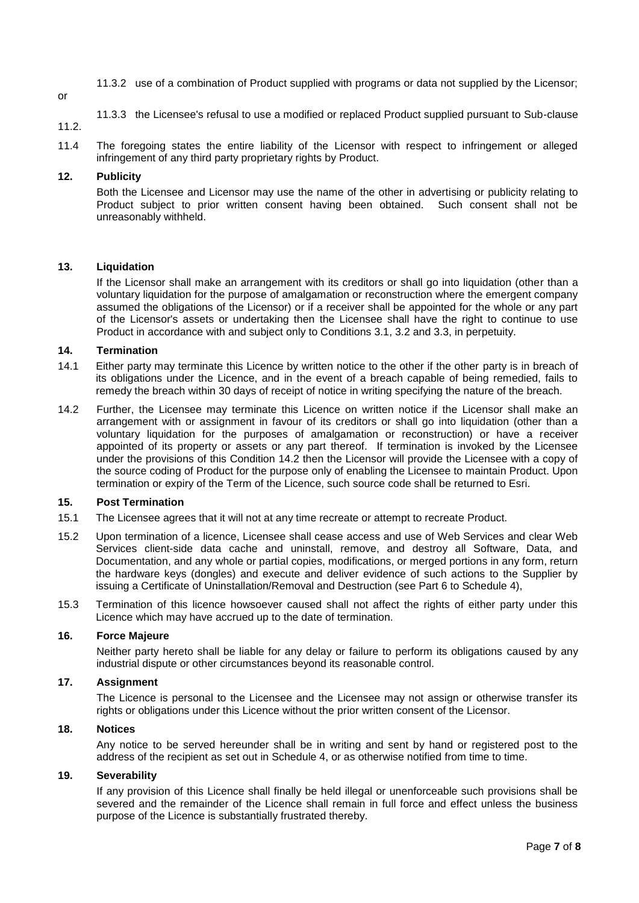- 11.3.2 use of a combination of Product supplied with programs or data not supplied by the Licensor;
- or
- 11.3.3 the Licensee's refusal to use a modified or replaced Product supplied pursuant to Sub-clause
- 11.2.
- 11.4 The foregoing states the entire liability of the Licensor with respect to infringement or alleged infringement of any third party proprietary rights by Product.

# **12. Publicity**

Both the Licensee and Licensor may use the name of the other in advertising or publicity relating to Product subject to prior written consent having been obtained. Such consent shall not be unreasonably withheld.

# **13. Liquidation**

If the Licensor shall make an arrangement with its creditors or shall go into liquidation (other than a voluntary liquidation for the purpose of amalgamation or reconstruction where the emergent company assumed the obligations of the Licensor) or if a receiver shall be appointed for the whole or any part of the Licensor's assets or undertaking then the Licensee shall have the right to continue to use Product in accordance with and subject only to Conditions 3.1, 3.2 and 3.3, in perpetuity.

# **14. Termination**

- 14.1 Either party may terminate this Licence by written notice to the other if the other party is in breach of its obligations under the Licence, and in the event of a breach capable of being remedied, fails to remedy the breach within 30 days of receipt of notice in writing specifying the nature of the breach.
- 14.2 Further, the Licensee may terminate this Licence on written notice if the Licensor shall make an arrangement with or assignment in favour of its creditors or shall go into liquidation (other than a voluntary liquidation for the purposes of amalgamation or reconstruction) or have a receiver appointed of its property or assets or any part thereof. If termination is invoked by the Licensee under the provisions of this Condition 14.2 then the Licensor will provide the Licensee with a copy of the source coding of Product for the purpose only of enabling the Licensee to maintain Product. Upon termination or expiry of the Term of the Licence, such source code shall be returned to Esri.

#### **15. Post Termination**

- 15.1 The Licensee agrees that it will not at any time recreate or attempt to recreate Product.
- 15.2 Upon termination of a licence, Licensee shall cease access and use of Web Services and clear Web Services client-side data cache and uninstall, remove, and destroy all Software, Data, and Documentation, and any whole or partial copies, modifications, or merged portions in any form, return the hardware keys (dongles) and execute and deliver evidence of such actions to the Supplier by issuing a Certificate of Uninstallation/Removal and Destruction (see Part 6 to Schedule 4),
- 15.3 Termination of this licence howsoever caused shall not affect the rights of either party under this Licence which may have accrued up to the date of termination.

# **16. Force Majeure**

Neither party hereto shall be liable for any delay or failure to perform its obligations caused by any industrial dispute or other circumstances beyond its reasonable control.

#### **17. Assignment**

The Licence is personal to the Licensee and the Licensee may not assign or otherwise transfer its rights or obligations under this Licence without the prior written consent of the Licensor.

#### **18. Notices**

Any notice to be served hereunder shall be in writing and sent by hand or registered post to the address of the recipient as set out in Schedule 4, or as otherwise notified from time to time.

# **19. Severability**

If any provision of this Licence shall finally be held illegal or unenforceable such provisions shall be severed and the remainder of the Licence shall remain in full force and effect unless the business purpose of the Licence is substantially frustrated thereby.